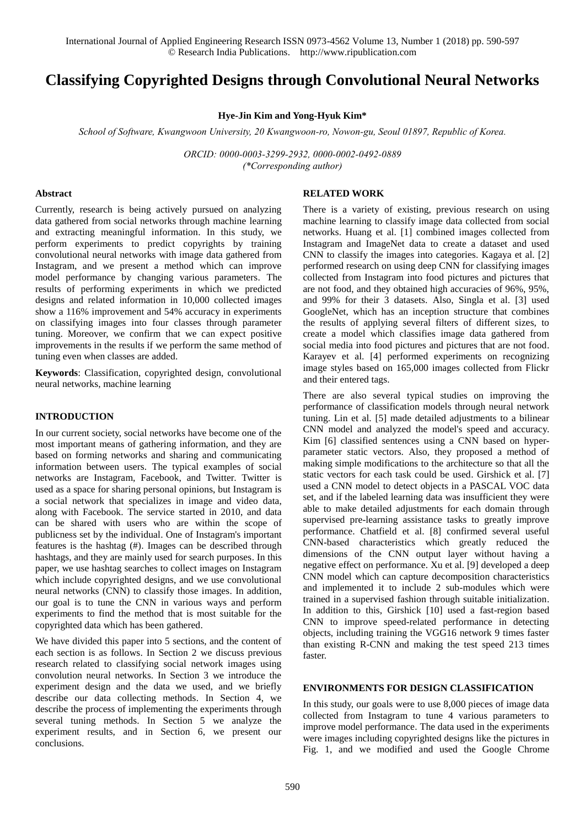International Journal of Applied Engineering Research ISSN 0973-4562 Volume 13, Number 1 (2018) pp. 590-597 © Research India Publications. http://www.ripublication.com

# **Classifying Copyrighted Designs through Convolutional Neural Networks**

**Hye-Jin Kim and Yong-Hyuk Kim\***

*School of Software, Kwangwoon University, 20 Kwangwoon-ro, Nowon-gu, Seoul 01897, Republic of Korea.*

*ORCID: 0000-0003-3299-2932, 0000-0002-0492-0889 (\*Corresponding author)* 

#### **Abstract**

Currently, research is being actively pursued on analyzing data gathered from social networks through machine learning and extracting meaningful information. In this study, we perform experiments to predict copyrights by training convolutional neural networks with image data gathered from Instagram, and we present a method which can improve model performance by changing various parameters. The results of performing experiments in which we predicted designs and related information in 10,000 collected images show a 116% improvement and 54% accuracy in experiments on classifying images into four classes through parameter tuning. Moreover, we confirm that we can expect positive improvements in the results if we perform the same method of tuning even when classes are added.

**Keywords**: Classification, copyrighted design, convolutional neural networks, machine learning

#### **INTRODUCTION**

In our current society, social networks have become one of the most important means of gathering information, and they are based on forming networks and sharing and communicating information between users. The typical examples of social networks are Instagram, Facebook, and Twitter. Twitter is used as a space for sharing personal opinions, but Instagram is a social network that specializes in image and video data, along with Facebook. The service started in 2010, and data can be shared with users who are within the scope of publicness set by the individual. One of Instagram's important features is the hashtag (#). Images can be described through hashtags, and they are mainly used for search purposes. In this paper, we use hashtag searches to collect images on Instagram which include copyrighted designs, and we use convolutional neural networks (CNN) to classify those images. In addition, our goal is to tune the CNN in various ways and perform experiments to find the method that is most suitable for the copyrighted data which has been gathered.

We have divided this paper into 5 sections, and the content of each section is as follows. In Section 2 we discuss previous research related to classifying social network images using convolution neural networks. In Section 3 we introduce the experiment design and the data we used, and we briefly describe our data collecting methods. In Section 4, we describe the process of implementing the experiments through several tuning methods. In Section 5 we analyze the experiment results, and in Section 6, we present our conclusions.

#### **RELATED WORK**

There is a variety of existing, previous research on using machine learning to classify image data collected from social networks. Huang et al. [1] combined images collected from Instagram and ImageNet data to create a dataset and used CNN to classify the images into categories. Kagaya et al. [2] performed research on using deep CNN for classifying images collected from Instagram into food pictures and pictures that are not food, and they obtained high accuracies of 96%, 95%, and 99% for their 3 datasets. Also, Singla et al. [3] used GoogleNet, which has an inception structure that combines the results of applying several filters of different sizes, to create a model which classifies image data gathered from social media into food pictures and pictures that are not food. Karayev et al. [4] performed experiments on recognizing image styles based on 165,000 images collected from Flickr and their entered tags.

There are also several typical studies on improving the performance of classification models through neural network tuning. Lin et al. [5] made detailed adjustments to a bilinear CNN model and analyzed the model's speed and accuracy. Kim [6] classified sentences using a CNN based on hyperparameter static vectors. Also, they proposed a method of making simple modifications to the architecture so that all the static vectors for each task could be used. Girshick et al. [7] used a CNN model to detect objects in a PASCAL VOC data set, and if the labeled learning data was insufficient they were able to make detailed adjustments for each domain through supervised pre-learning assistance tasks to greatly improve performance. Chatfield et al. [8] confirmed several useful CNN-based characteristics which greatly reduced the dimensions of the CNN output layer without having a negative effect on performance. Xu et al. [9] developed a deep CNN model which can capture decomposition characteristics and implemented it to include 2 sub-modules which were trained in a supervised fashion through suitable initialization. In addition to this, Girshick [10] used a fast-region based CNN to improve speed-related performance in detecting objects, including training the VGG16 network 9 times faster than existing R-CNN and making the test speed 213 times faster.

#### **ENVIRONMENTS FOR DESIGN CLASSIFICATION**

In this study, our goals were to use 8,000 pieces of image data collected from Instagram to tune 4 various parameters to improve model performance. The data used in the experiments were images including copyrighted designs like the pictures in Fig. 1, and we modified and used the Google Chrome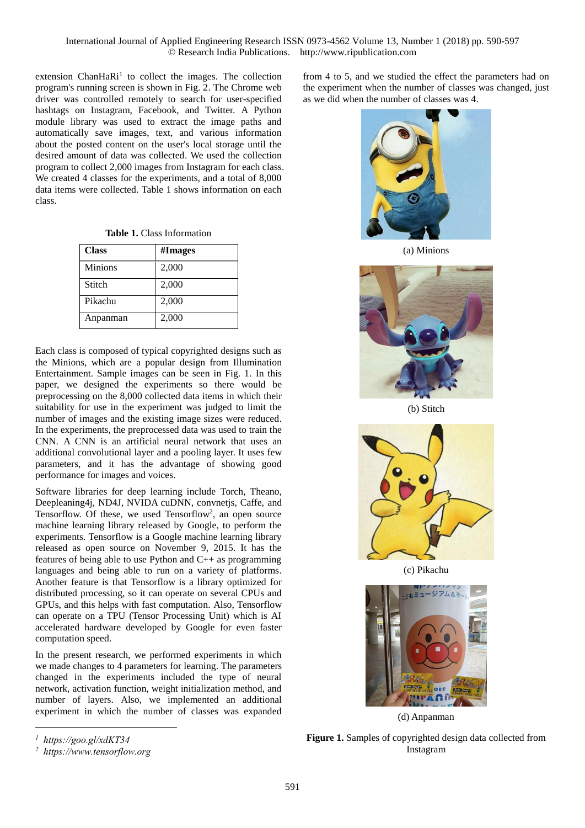extension ChanHaRi<sup>1</sup> to collect the images. The collection program's running screen is shown in Fig. 2. The Chrome web driver was controlled remotely to search for user-specified hashtags on Instagram, Facebook, and Twitter. A Python module library was used to extract the image paths and automatically save images, text, and various information about the posted content on the user's local storage until the desired amount of data was collected. We used the collection program to collect 2,000 images from Instagram for each class. We created 4 classes for the experiments, and a total of 8,000 data items were collected. Table 1 shows information on each class.

| <b>Class</b>   | #Images |
|----------------|---------|
| <b>Minions</b> | 2,000   |
| Stitch         | 2,000   |
| Pikachu        | 2,000   |
| Anpanman       | 2,000   |

Each class is composed of typical copyrighted designs such as the Minions, which are a popular design from Illumination Entertainment. Sample images can be seen in Fig. 1. In this paper, we designed the experiments so there would be preprocessing on the 8,000 collected data items in which their suitability for use in the experiment was judged to limit the number of images and the existing image sizes were reduced. In the experiments, the preprocessed data was used to train the CNN. A CNN is an artificial neural network that uses an additional convolutional layer and a pooling layer. It uses few parameters, and it has the advantage of showing good performance for images and voices.

Software libraries for deep learning include Torch, Theano, Deepleaning4j, ND4J, NVIDA cuDNN, convnetjs, Caffe, and Tensorflow. Of these, we used Tensorflow<sup>2</sup>, an open source machine learning library released by Google, to perform the experiments. Tensorflow is a Google machine learning library released as open source on November 9, 2015. It has the features of being able to use Python and C++ as programming languages and being able to run on a variety of platforms. Another feature is that Tensorflow is a library optimized for distributed processing, so it can operate on several CPUs and GPUs, and this helps with fast computation. Also, Tensorflow can operate on a TPU (Tensor Processing Unit) which is AI accelerated hardware developed by Google for even faster computation speed.

In the present research, we performed experiments in which we made changes to 4 parameters for learning. The parameters changed in the experiments included the type of neural network, activation function, weight initialization method, and number of layers. Also, we implemented an additional experiment in which the number of classes was expanded

from 4 to 5, and we studied the effect the parameters had on the experiment when the number of classes was changed, just as we did when the number of classes was 4.



(a) Minions



(b) Stitch



(c) Pikachu



(d) Anpanman

*1 https://goo.gl/xdKT34* 

-

**Figure 1.** Samples of copyrighted design data collected from Instagram

*<sup>2</sup> https://www.tensorflow.org*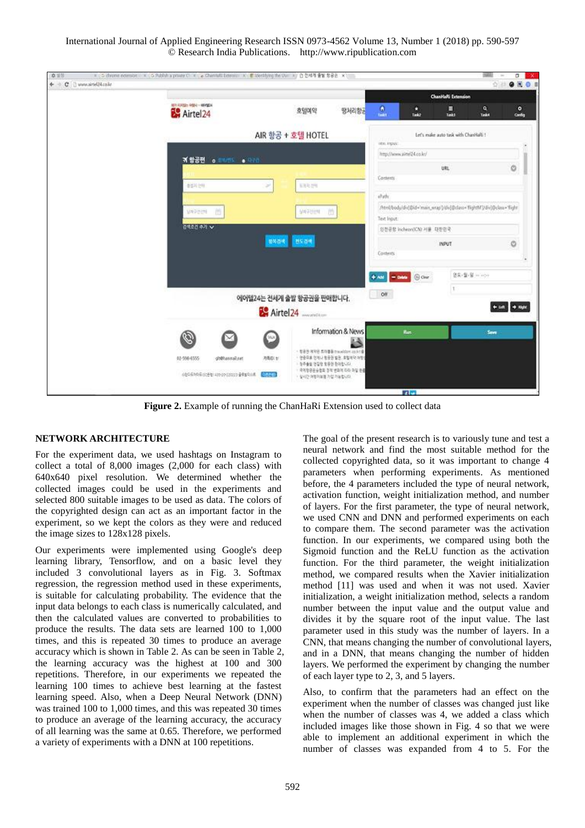International Journal of Applied Engineering Research ISSN 0973-4562 Volume 13, Number 1 (2018) pp. 590-597 © Research India Publications. http://www.ripublication.com



**Figure 2.** Example of running the ChanHaRi Extension used to collect data

#### **NETWORK ARCHITECTURE**

For the experiment data, we used hashtags on Instagram to collect a total of 8,000 images (2,000 for each class) with 640x640 pixel resolution. We determined whether the collected images could be used in the experiments and selected 800 suitable images to be used as data. The colors of the copyrighted design can act as an important factor in the experiment, so we kept the colors as they were and reduced the image sizes to 128x128 pixels.

Our experiments were implemented using Google's deep learning library, Tensorflow, and on a basic level they included 3 convolutional layers as in Fig. 3. Softmax regression, the regression method used in these experiments, is suitable for calculating probability. The evidence that the input data belongs to each class is numerically calculated, and then the calculated values are converted to probabilities to produce the results. The data sets are learned 100 to 1,000 times, and this is repeated 30 times to produce an average accuracy which is shown in Table 2. As can be seen in Table 2, the learning accuracy was the highest at 100 and 300 repetitions. Therefore, in our experiments we repeated the learning 100 times to achieve best learning at the fastest learning speed. Also, when a Deep Neural Network (DNN) was trained 100 to 1,000 times, and this was repeated 30 times to produce an average of the learning accuracy, the accuracy of all learning was the same at 0.65. Therefore, we performed a variety of experiments with a DNN at 100 repetitions.

The goal of the present research is to variously tune and test a neural network and find the most suitable method for the collected copyrighted data, so it was important to change 4 parameters when performing experiments. As mentioned before, the 4 parameters included the type of neural network, activation function, weight initialization method, and number of layers. For the first parameter, the type of neural network, we used CNN and DNN and performed experiments on each to compare them. The second parameter was the activation function. In our experiments, we compared using both the Sigmoid function and the ReLU function as the activation function. For the third parameter, the weight initialization method, we compared results when the Xavier initialization method [11] was used and when it was not used. Xavier initialization, a weight initialization method, selects a random number between the input value and the output value and divides it by the square root of the input value. The last parameter used in this study was the number of layers. In a CNN, that means changing the number of convolutional layers, and in a DNN, that means changing the number of hidden layers. We performed the experiment by changing the number of each layer type to 2, 3, and 5 layers.

Also, to confirm that the parameters had an effect on the experiment when the number of classes was changed just like when the number of classes was 4, we added a class which included images like those shown in Fig. 4 so that we were able to implement an additional experiment in which the number of classes was expanded from 4 to 5. For the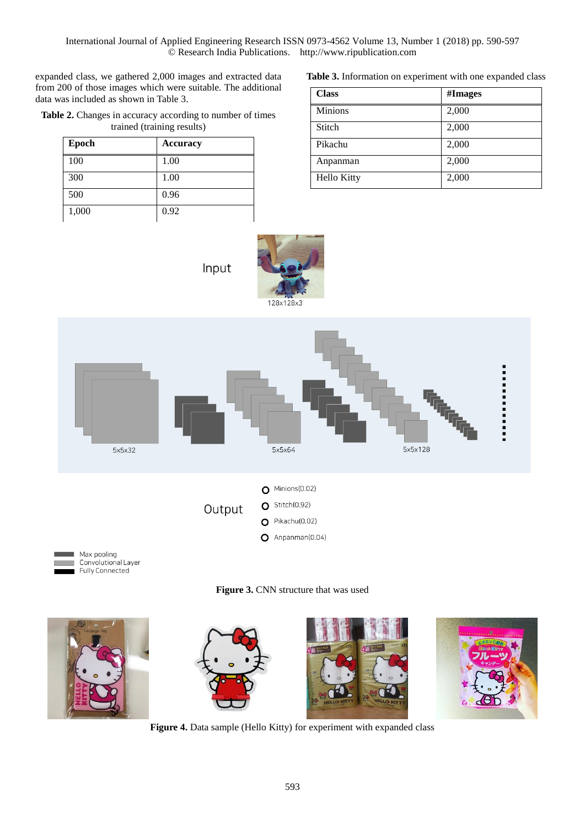International Journal of Applied Engineering Research ISSN 0973-4562 Volume 13, Number 1 (2018) pp. 590-597 © Research India Publications. http://www.ripublication.com

expanded class, we gathered 2,000 images and extracted data from 200 of those images which were suitable. The additional data was included as shown in Table 3.

**Table 2.** Changes in accuracy according to number of times trained (training results)

| Epoch | <b>Accuracy</b> |
|-------|-----------------|
| 100   | 1.00            |
| 300   | 1.00            |
| 500   | 0.96            |
| 1,000 | 0.92            |

**Table 3.** Information on experiment with one expanded class

| <b>Class</b>   | #Images |
|----------------|---------|
| <b>Minions</b> | 2,000   |
| Stitch         | 2,000   |
| Pikachu        | 2,000   |
| Anpanman       | 2,000   |
| Hello Kitty    | 2,000   |



Input





**Figure 3. CNN** structure that was used



**Figure 4.** Data sample (Hello Kitty) for experiment with expanded class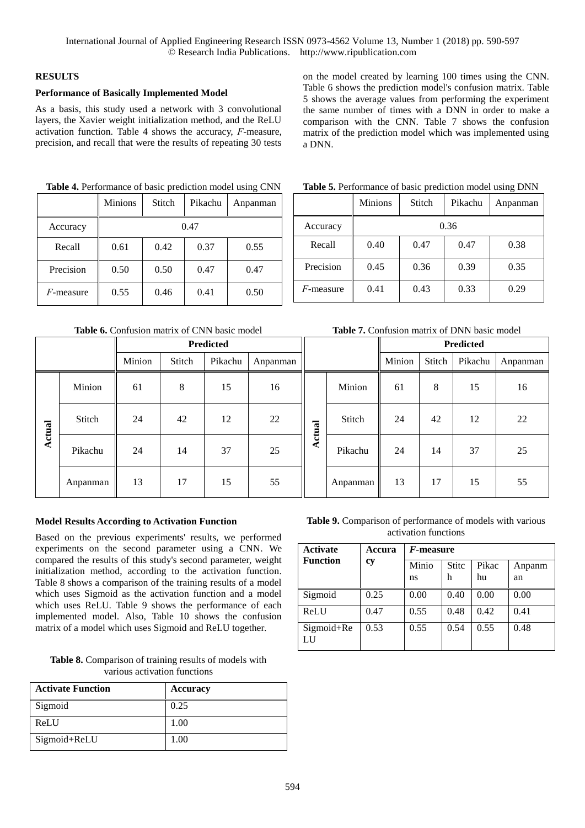# **RESULTS**

**Actual**

### **Performance of Basically Implemented Model**

As a basis, this study used a network with 3 convolutional layers, the Xavier weight initialization method, and the ReLU activation function. Table 4 shows the accuracy, *F*-measure, precision, and recall that were the results of repeating 30 tests on the model created by learning 100 times using the CNN. Table 6 shows the prediction model's confusion matrix. Table 5 shows the average values from performing the experiment the same number of times with a DNN in order to make a comparison with the CNN. Table 7 shows the confusion matrix of the prediction model which was implemented using a DNN.

|              | <b>Minions</b> | <b>Stitch</b> | Pikachu | Anpanman |
|--------------|----------------|---------------|---------|----------|
| Accuracy     |                |               | 0.47    |          |
| Recall       | 0.61           | 0.42          | 0.37    | 0.55     |
| Precision    | 0.50           | 0.50          | 0.47    | 0.47     |
| $F$ -measure | 0.55           | 0.46          | 0.41    | 0.50     |

**Table 4.** Performance of basic prediction model using CNN

**Table 6.** Confusion matrix of CNN basic model

Minion 61 8 15 16

Stitch 24 42 22

Pikachu | 24 | 14 | 37 | 25

Anpanman 13 17 15 55

| Table 5. Performance of basic prediction model using DNN |                |        |         |          |
|----------------------------------------------------------|----------------|--------|---------|----------|
|                                                          | <b>Minions</b> | Stitch | Pikachu | Anpanman |
| Accuracy                                                 |                |        | 0.36    |          |
| Recall                                                   | 0.40           | 0.47   | 0.47    | 0.38     |
| Precision                                                | 0.45           | 0.36   | 0.39    | 0.35     |
| $F$ -measure                                             | 0.41           | 0.43   | 0.33    | 0.29     |

| Precision                                           | 0.45 | 0.36 | 0.39 | 0.35 |
|-----------------------------------------------------|------|------|------|------|
| $F$ -measure                                        | 0.41 | 0.43 | 0.33 | 0.29 |
| <b>Table 7.</b> Confusion matrix of DNN basic model |      |      |      |      |
|                                                     |      |      |      |      |

| Predicted |        |         |          |        |          |        | Predicted |         |          |
|-----------|--------|---------|----------|--------|----------|--------|-----------|---------|----------|
| Minion    | Stitch | Pikachu | Anpanman |        |          | Minion | Stitch    | Pikachu | Anpanman |
| 61        | 8      | 15      | 16       |        | Minion   | 61     | 8         | 15      | 16       |
| 24        | 42     | 12      | 22       | Actual | Stitch   | 24     | 42        | 12      | 22       |
| 24        | 14     | 37      | 25       |        | Pikachu  | 24     | 14        | 37      | 25       |
| 13        | 17     | 15      | 55       |        | Anpanman | 13     | 17        | 15      | 55       |

#### **Model Results According to Activation Function**

Based on the previous experiments' results, we performed experiments on the second parameter using a CNN. We compared the results of this study's second parameter, weight initialization method, according to the activation function. Table 8 shows a comparison of the training results of a model which uses Sigmoid as the activation function and a model which uses ReLU. Table 9 shows the performance of each implemented model. Also, Table 10 shows the confusion matrix of a model which uses Sigmoid and ReLU together.

**Table 8.** Comparison of training results of models with various activation functions

| <b>Activate Function</b> | <b>Accuracy</b> |
|--------------------------|-----------------|
| Sigmoid                  | 0.25            |
| ReLU                     | 1.00            |
| Sigmoid+ReLU             | 1.00            |

**Table 9.** Comparison of performance of models with various activation functions

| <b>Activate</b>  | Accura | $F$ -measure |                   |             |              |
|------------------|--------|--------------|-------------------|-------------|--------------|
| <b>Function</b>  | сy     | Minio<br>ns  | <b>Stitc</b><br>h | Pikac<br>hu | Anpanm<br>an |
| Sigmoid          | 0.25   | 0.00         | 0.40              | 0.00        | 0.00         |
| ReLU             | 0.47   | 0.55         | 0.48              | 0.42        | 0.41         |
| Sigmoid+Re<br>LU | 0.53   | 0.55         | 0.54              | 0.55        | 0.48         |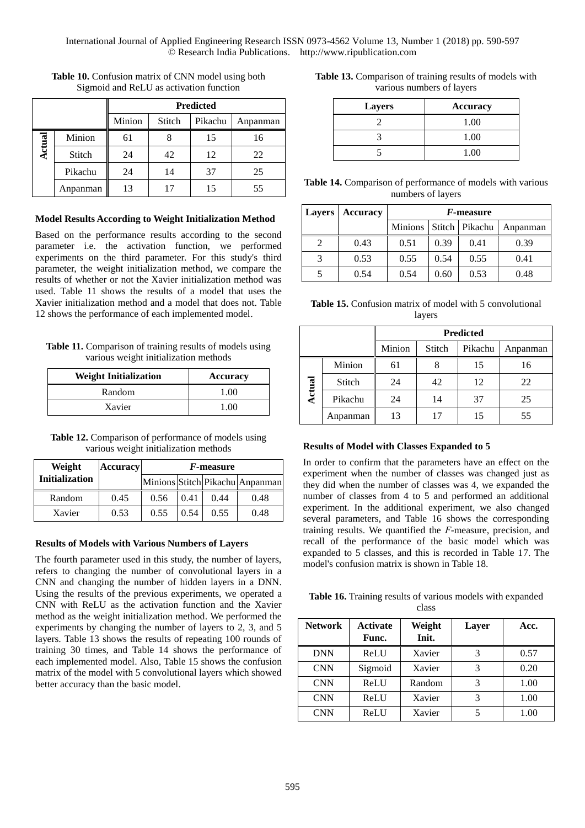|                   |          | <b>Predicted</b> |        |         |          |  |
|-------------------|----------|------------------|--------|---------|----------|--|
|                   |          | Minion           | Stitch | Pikachu | Anpanman |  |
| $\mathbf{a}$<br>5 | Minion   | 61               |        | 15      | 16       |  |
| 듕<br>ē.           | Stitch   | 24               | 42     | 12      | 22       |  |
|                   | Pikachu  | 24               | 14     | 37      | 25       |  |
|                   | Anpanman | 13               |        | 15      | 55       |  |

**Table 10.** Confusion matrix of CNN model using both Sigmoid and ReLU as activation function

#### **Model Results According to Weight Initialization Method**

Based on the performance results according to the second parameter i.e. the activation function, we performed experiments on the third parameter. For this study's third parameter, the weight initialization method, we compare the results of whether or not the Xavier initialization method was used. Table 11 shows the results of a model that uses the Xavier initialization method and a model that does not. Table 12 shows the performance of each implemented model.

| Table 11. Comparison of training results of models using |
|----------------------------------------------------------|
| various weight initialization methods                    |

| <b>Weight Initialization</b> | Accuracy |
|------------------------------|----------|
| Random                       | 1.00     |
| Xavier                       | 1 00     |

**Table 12.** Comparison of performance of models using various weight initialization methods

| Weight                | <b>Accuracy</b> | <i>F</i> -measure               |      |      |      |  |  |
|-----------------------|-----------------|---------------------------------|------|------|------|--|--|
| <b>Initialization</b> |                 | Minions Stitch Pikachu Anpanman |      |      |      |  |  |
| Random                | 0.45            | 0.56                            | 0.41 | 0.44 | 0.48 |  |  |
| Xavier                | 0.53            | 0.55                            | 0.54 | 0.55 | 0.48 |  |  |

#### **Results of Models with Various Numbers of Layers**

The fourth parameter used in this study, the number of layers, refers to changing the number of convolutional layers in a CNN and changing the number of hidden layers in a DNN. Using the results of the previous experiments, we operated a CNN with ReLU as the activation function and the Xavier method as the weight initialization method. We performed the experiments by changing the number of layers to 2, 3, and 5 layers. Table 13 shows the results of repeating 100 rounds of training 30 times, and Table 14 shows the performance of each implemented model. Also, Table 15 shows the confusion matrix of the model with 5 convolutional layers which showed better accuracy than the basic model.

**Table 13.** Comparison of training results of models with various numbers of layers

| <b>Layers</b> | Accuracy |
|---------------|----------|
|               | 1.00     |
|               | 1.00     |
|               | 1.00     |

| Table 14. Comparison of performance of models with various |  |
|------------------------------------------------------------|--|
| numbers of layers                                          |  |

| <b>Layers</b> | <b>Accuracy</b> | <i>F</i> -measure |      |                  |          |  |
|---------------|-----------------|-------------------|------|------------------|----------|--|
|               |                 | Minions           |      | Stitch   Pikachu | Anpanman |  |
|               | 0.43            | 0.51              | 0.39 | 0.41             | 0.39     |  |
| 3             | 0.53            | 0.55              | 0.54 | 0.55             | 0.41     |  |
|               | 0.54            | 0.54              | 0.60 | 0.53             | 0.48     |  |

**Table 15.** Confusion matrix of model with 5 convolutional layers

|        |          | <b>Predicted</b> |        |         |          |  |  |
|--------|----------|------------------|--------|---------|----------|--|--|
|        |          | Minion           | Stitch | Pikachu | Anpanman |  |  |
|        | Minion   | 61               | Ω      | 15      | 16       |  |  |
| Actual | Stitch   | 24               | 42     | 12      | 22       |  |  |
|        | Pikachu  | 24               | 14     | 37      | 25       |  |  |
|        | Anpanman | 13               |        | 15      | 55       |  |  |

#### **Results of Model with Classes Expanded to 5**

In order to confirm that the parameters have an effect on the experiment when the number of classes was changed just as they did when the number of classes was 4, we expanded the number of classes from 4 to 5 and performed an additional experiment. In the additional experiment, we also changed several parameters, and Table 16 shows the corresponding training results. We quantified the *F*-measure, precision, and recall of the performance of the basic model which was expanded to 5 classes, and this is recorded in Table 17. The model's confusion matrix is shown in Table 18.

**Table 16.** Training results of various models with expanded class

| <b>Network</b> | <b>Activate</b><br>Func. | Weight<br>Init. | Layer | Acc. |
|----------------|--------------------------|-----------------|-------|------|
| <b>DNN</b>     | ReLU                     | Xavier          | 3     | 0.57 |
| <b>CNN</b>     | Sigmoid                  | Xavier          | 3     | 0.20 |
| <b>CNN</b>     | ReLU                     | Random          | 3     | 1.00 |
| <b>CNN</b>     | ReLU                     | Xavier          | 3     | 1.00 |
| <b>CNN</b>     | ReLU                     | Xavier          |       | 1.00 |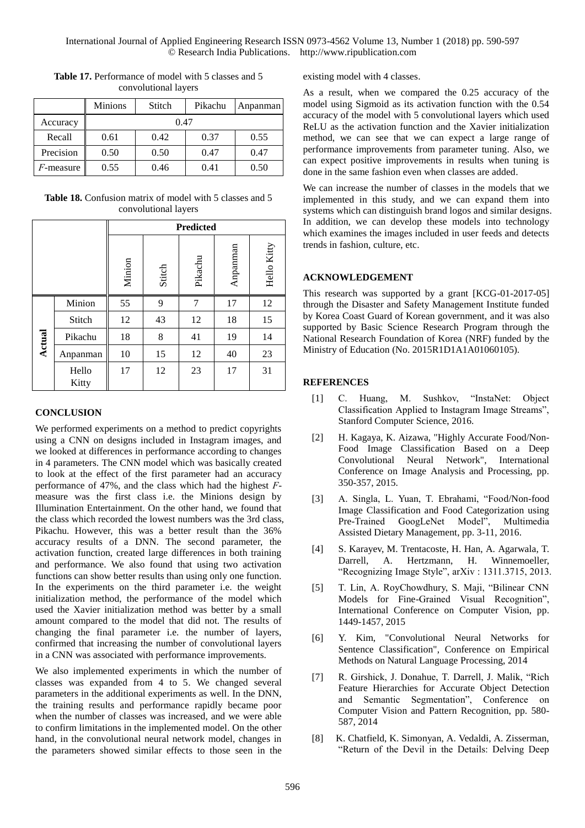|                   | <b>Minions</b> | Stitch | Pikachu | Anpanman |  |
|-------------------|----------------|--------|---------|----------|--|
| Accuracy          |                | 0.47   |         |          |  |
| Recall            | 0.61           | 0.42   | 0.37    | 0.55     |  |
| Precision         | 0.50           | 0.50   | 0.47    | 0.47     |  |
| <i>F</i> -measure | 0.55           | 0.46   | 0.41    | 0.50     |  |

Table 17. Performance of model with 5 classes and 5 convolutional layers

Table 18. Confusion matrix of model with 5 classes and 5 convolutional layers

|               |                | <b>Predicted</b> |        |         |          |             |  |
|---------------|----------------|------------------|--------|---------|----------|-------------|--|
|               |                | Minion           | Stitch | Pikachu | Anpanman | Hello Kitty |  |
|               | Minion         | 55               | 9      | 7       | 17       | 12          |  |
|               | Stitch         | 12               | 43     | 12      | 18       | 15          |  |
| <b>Actual</b> | Pikachu        | 18               | 8      | 41      | 19       | 14          |  |
|               | Anpanman       | 10               | 15     | 12      | 40       | 23          |  |
|               | Hello<br>Kitty | 17               | 12     | 23      | 17       | 31          |  |

# **CONCLUSION**

We performed experiments on a method to predict copyrights using a CNN on designs included in Instagram images, and we looked at differences in performance according to changes in 4 parameters. The CNN model which was basically created to look at the effect of the first parameter had an accuracy performance of 47%, and the class which had the highest *F*measure was the first class i.e. the Minions design by Illumination Entertainment. On the other hand, we found that the class which recorded the lowest numbers was the 3rd class, Pikachu. However, this was a better result than the 36% accuracy results of a DNN. The second parameter, the activation function, created large differences in both training and performance. We also found that using two activation functions can show better results than using only one function. In the experiments on the third parameter i.e. the weight initialization method, the performance of the model which used the Xavier initialization method was better by a small amount compared to the model that did not. The results of changing the final parameter i.e. the number of layers, confirmed that increasing the number of convolutional layers in a CNN was associated with performance improvements.

We also implemented experiments in which the number of classes was expanded from 4 to 5. We changed several parameters in the additional experiments as well. In the DNN, the training results and performance rapidly became poor when the number of classes was increased, and we were able to confirm limitations in the implemented model. On the other hand, in the convolutional neural network model, changes in the parameters showed similar effects to those seen in the existing model with 4 classes.

As a result, when we compared the 0.25 accuracy of the model using Sigmoid as its activation function with the 0.54 accuracy of the model with 5 convolutional layers which used ReLU as the activation function and the Xavier initialization method, we can see that we can expect a large range of performance improvements from parameter tuning. Also, we can expect positive improvements in results when tuning is done in the same fashion even when classes are added.

We can increase the number of classes in the models that we implemented in this study, and we can expand them into systems which can distinguish brand logos and similar designs. In addition, we can develop these models into technology which examines the images included in user feeds and detects trends in fashion, culture, etc.

# **ACKNOWLEDGEMENT**

This research was supported by a grant [KCG-01-2017-05] through the Disaster and Safety Management Institute funded by Korea Coast Guard of Korean government, and it was also supported by Basic Science Research Program through the National Research Foundation of Korea (NRF) funded by the Ministry of Education (No. 2015R1D1A1A01060105).

## **REFERENCES**

- [1] C. Huang, M. Sushkov, "InstaNet: Object Classification Applied to Instagram Image Streams", Stanford Computer Science, 2016.
- [2] H. Kagaya, K. Aizawa, "Highly Accurate Food/Non-Food Image Classification Based on a Deep Convolutional Neural Network", International Conference on Image Analysis and Processing, pp. 350-357, 2015.
- [3] A. Singla, L. Yuan, T. Ebrahami, "Food/Non-food Image Classification and Food Categorization using Pre-Trained GoogLeNet Model", Multimedia Assisted Dietary Management, pp. 3-11, 2016.
- [4] S. Karayev, M. Trentacoste, H. Han, A. Agarwala, T. Darrell, A. Hertzmann, H. Winnemoeller, "Recognizing Image Style", arXiv : 1311.3715, 2013.
- [5] T. Lin, A. RoyChowdhury, S. Maji, "Bilinear CNN Models for Fine-Grained Visual Recognition", International Conference on Computer Vision, pp. 1449-1457, 2015
- [6] Y. Kim, "Convolutional Neural Networks for Sentence Classification", Conference on Empirical Methods on Natural Language Processing, 2014
- [7] R. Girshick, J. Donahue, T. Darrell, J. Malik, "Rich Feature Hierarchies for Accurate Object Detection and Semantic Segmentation", Conference on Computer Vision and Pattern Recognition, pp. 580- 587, 2014
- [8] K. Chatfield, K. Simonyan, A. Vedaldi, A. Zisserman, "Return of the Devil in the Details: Delving Deep